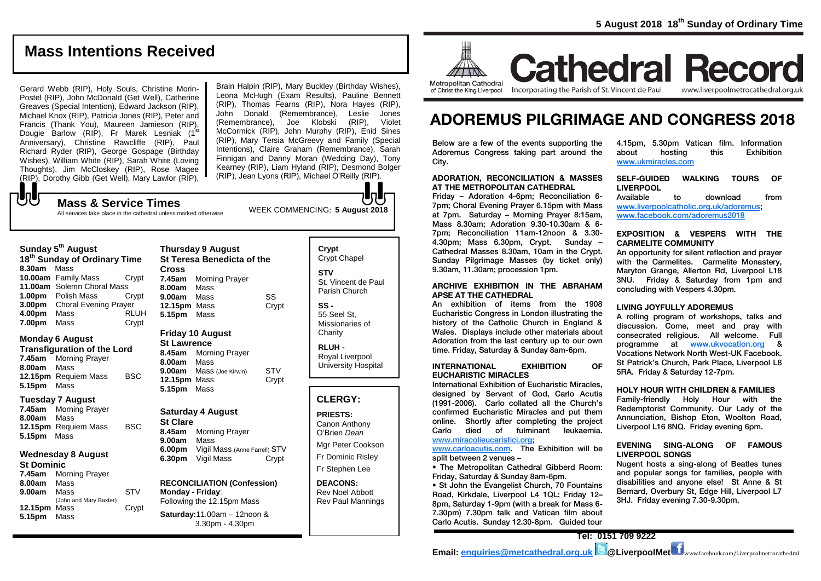# **Mass Intentions Received**

Gerard Webb (RIP), Holy Souls, Christine Morin-Postel (RIP), John McDonald (Get Well), Catherine Greaves (Special Intention), Edward Jackson (RIP), Michael Knox (RIP), Patricia Jones (RIP), Peter and Francis (Thank You), Maureen Jamieson (RIP), Dougie Barlow (RIP), Fr Marek Lesniak (1<sup>st</sup> Anniversary), Christine Rawcliffe (RIP), Paul Richard Ryder (RIP), George Gospage (Birthday Wishes), William White (RIP), Sarah White (Loving Thoughts), Jim McCloskey (RIP), Rose Magee (RIP), Dorothy Gibb (Get Well), Mary Lawlor (RIP),

Brain Halpin (RIP), Mary Buckley (Birthday Wishes), Leona McHugh (Exam Results), Pauline Bennett (RIP), Thomas Fearns (RIP), Nora Hayes (RIP), John Donald (Remembrance), Leslie Jones (Remembrance), Joe Klobski (RIP), Violet McCormick (RIP), John Murphy (RIP), Enid Sines (RIP), Mary Tersia McGreevy and Family (Special Intentions), Claire Graham (Remembrance), Sarah Finnigan and Danny Moran (Wedding Day), Tony Kearney (RIP), Liam Hyland (RIP), Desmond Bolger (RIP), Jean Lyons (RIP), Michael O'Reilly (RIP).

WEEK COMMENCING: **5 August 2018 Mass & Service Times** All services take place in the cathedral unless marked otherwise

**Sunday 5 th August 18th Sunday of Ordinary Time 8.30am** Mass **10.00am** Family Mass Crypt **11.00am** Solemn Choral Mass **1.00pm** Polish Mass Crypt **3.00pm** Choral Evening Prayer **4.00pm** Mass RLUH **7.00pm** Mass Crypt

### **Monday 6 August**

もし

**Transfiguration of the Lord 7.45am** Morning Prayer **8.00am** Mass **12.15pm** Requiem Mass BSC **5.15pm** Mass

### **Tuesday 7 August**

**7.45am** Morning Prayer **8.00am** Mass **12.15pm** Requiem Mass BSC **5.15pm** Mass

#### **Wednesday 8 August St Dominic**

| ul Duillinu |                        |            |
|-------------|------------------------|------------|
| 7.45am      | <b>Morning Prayer</b>  |            |
| 8.00am      | Mass                   |            |
| 9.00am      | Mass                   | <b>STV</b> |
|             | (John and Mary Baxter) |            |
| 12.15pm     | Mass                   | Crypt      |
| 5.15pm      | Mass                   |            |
|             |                        |            |

## **Thursday 9 August St Teresa Benedicta of the Cross 7.45am** Morning Prayer **8.00am** Mass **9.00am** Mass SS **12.15pm** Mass Crypt **5.15pm** Mass

### **Friday 10 August**

**St Lawrence 8.45am** Morning Prayer **8.00am** Mass **9.00am** Mass (Joe Kirwin) STV<br>**12.15pm** Mass Crypt **12.15pm Mass 5.15pm** Mass

**Saturday 4 August St Clare 8.45am** Morning Prayer **9.00am** Mass **6.00pm** Vigil Mass (Anne Farrell) STV **6.30pm** Vigil Mass Crypt

### **RECONCILIATION (Confession) Monday - Friday**:

Following the 12.15pm Mass **Saturday:**11.00am – 12noon & 3.30pm - 4.30pm

## **Crypt**  Crypt Chapel **STV** St. Vincent de Paul Parish Church

**SS -** 55 Seel St, Missionaries of **Charity** 

**RLUH -** Royal Liverpool University Hospital

## **CLERGY:**

### **PRIESTS:**

Canon Anthony O'Brien *Dean* Mgr Peter Cookson

Fr Dominic Risley Fr Stephen Lee

**DEACONS:** Rev Noel Abbott Rev Paul Mannings



of Christ the King Liverpool

Incorporating the Parish of St. Vincent de Paul

**Cathedral Record** www.liverpoolmetrocathedral.org.uk

# **ADOREMUS PILGRIMAGE AND CONGRESS 2018**

Below are a few of the events supporting the Adoremus Congress taking part around the City.

### **ADORATION, RECONCILIATION & MASSES AT THE METROPOLITAN CATHEDRAL**

Friday – Adoration 4-6pm; Reconciliation 6- 7pm; Choral Evening Prayer 6.15pm with Mass at 7pm. Saturday – Morning Prayer 8:15am, Mass 8.30am; Adoration 9.30-10.30am & 6- 7pm; Reconciliation 11am-12noon & 3.30- 4.30pm; Mass 6.30pm, Crypt. Sunday – Cathedral Masses 8.30am, 10am in the Crypt. Sunday Pilgrimage Masses (by ticket only) 9.30am, 11.30am; procession 1pm.

### **ARCHIVE EXHIBITION IN THE ABRAHAM APSE AT THE CATHEDRAL**

An exhibition of items from the 1908 Eucharistic Congress in London illustrating the history of the Catholic Church in England & Wales. Displays include other materials about Adoration from the last century up to our own time. Friday, Saturday & Sunday 8am-6pm.

### **INTERNATIONAL EXHIBITION OF EUCHARISTIC MIRACLES**

International Exhibition of Eucharistic Miracles, designed by Servant of God, Carlo Acutis (1991-2006). Carlo collated all the Church's confirmed Eucharistic Miracles and put them online. Shortly after completing the project Carlo died of fulminant leukaemia. [www.miracolieucaristici.org;](http://www.miracolieucaristici.org/)

[www.carloacutis.com.](http://www.carloacutis.com/) The Exhibition will be split between 2 venues –

• The Metropolitan Cathedral Gibberd Room: Friday, Saturday & Sunday 8am-6pm.

• St John the Evangelist Church, 70 Fountains Road, Kirkdale, Liverpool L4 1QL: Friday 12– 8pm, Saturday 1-9pm (with a break for Mass 6- 7.30pm) 7.30pm talk and Vatican film about Carlo Acutis. Sunday 12.30-8pm. Guided tour

4.15pm, 5.30pm Vatican film. Information about hosting this Exhibition [www.ukmiracles.com](http://www.ukmiracles.com/)

**SELF-GUIDED WALKING TOURS OF LIVERPOOL**

Available to download from [www.liverpoolcatholic.org.uk/adoremus;](http://www.liverpoolcatholic.org.uk/adoremus) [www.facebook.com/adoremus2018](http://www.facebook.com/adoremus2018)

### **EXPOSITION & VESPERS WITH THE CARMELITE COMMUNITY**

An opportunity for silent reflection and prayer with the Carmelites. Carmelite Monastery, Maryton Grange, Allerton Rd, Liverpool L18 3NU. Friday & Saturday from 1pm and concluding with Vespers 4.30pm.

### **LIVING JOYFULLY ADOREMUS**

A rolling program of workshops, talks and discussion. Come, meet and pray with consecrated religious. All welcome. Full programme at [www.ukvocation.org](http://www.ukvocation.org/) & Vocations Network North West-UK Facebook. St Patrick's Church, Park Place, Liverpool L8 5RA. Friday & Saturday 12-7pm.

### **HOLY HOUR WITH CHILDREN & FAMILIES**

Family-friendly Holy Hour with the Redemptorist Community. Our Lady of the Annunciation, Bishop Eton, Woolton Road, Liverpool L16 8NQ. Friday evening 6pm.

### **EVENING SING-ALONG OF FAMOUS LIVERPOOL SONGS**

Nugent hosts a sing-along of Beatles tunes and popular songs for families, people with disabilities and anyone else! St Anne & St Bernard, Overbury St, Edge Hill, Liverpool L7 3HJ. Friday evening 7.30-9.30pm.